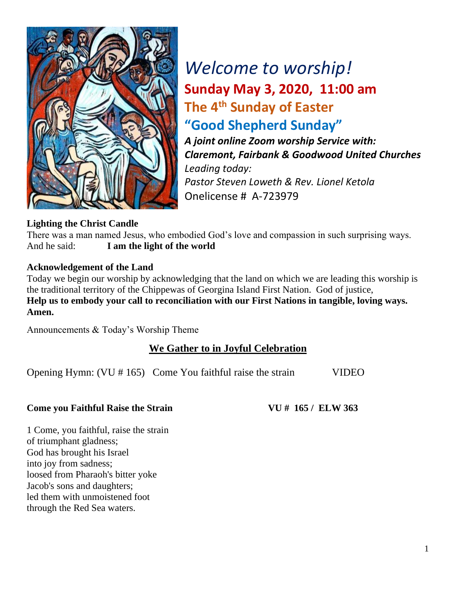

# *Welcome to worship!* **Sunday May 3, 2020, 11:00 am The 4 th Sunday of Easter "Good Shepherd Sunday"**

*A joint online Zoom worship Service with: Claremont, Fairbank & Goodwood United Churches Leading today: Pastor Steven Loweth & Rev. Lionel Ketola* Onelicense # A-723979

#### **Lighting the Christ Candle**

There was a man named Jesus, who embodied God's love and compassion in such surprising ways. And he said: **I am the light of the world** 

#### **Acknowledgement of the Land**

Today we begin our worship by acknowledging that the land on which we are leading this worship is the traditional territory of the Chippewas of Georgina Island First Nation. God of justice, **Help us to embody your call to reconciliation with our First Nations in tangible, loving ways. Amen.** 

Announcements & Today's Worship Theme

### **We Gather to in Joyful Celebration**

Opening Hymn: (VU # 165) Come You faithful raise the strain VIDEO

#### **Come you Faithful Raise the Strain VU # 165 / ELW 363**

1 Come, you faithful, raise the strain of triumphant gladness; God has brought his Israel into joy from sadness; loosed from Pharaoh's bitter yoke Jacob's sons and daughters; led them with unmoistened foot through the Red Sea waters.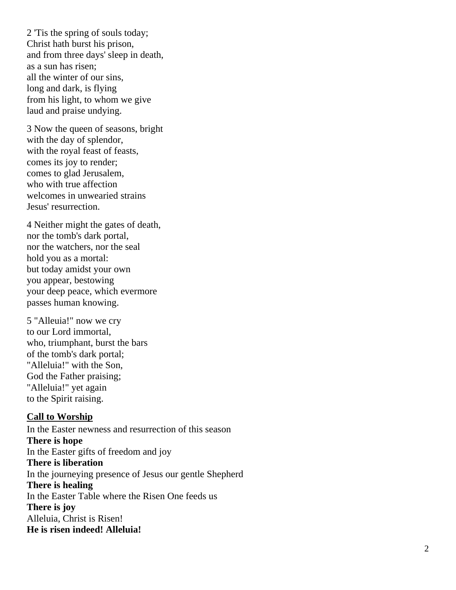2 'Tis the spring of souls today; Christ hath burst his prison, and from three days' sleep in death, as a sun ha s risen; all the winter of our sins, long and dark, is flying from his light, to whom we give laud and praise undying.

3 Now the queen of seasons, bright with the day of splendor, with the royal feast of feasts, comes its joy to render; comes to glad Jerusalem, who with true affection welcomes in unwearied strains Jesus' resurrection.

4 Neither might the gates of death, nor the tomb's dark portal, nor the watchers, nor the seal hold you as a mortal: but today amidst your own you appear, bestowing your deep peace, which evermore passe s human knowing.

5 "Alleuia!" now we cry to our Lord immortal, who, triumphant, burst the bars of the tomb's dark portal; "Alleluia!" with the Son, God the Father praising; "Alleluia!" yet again to the Spirit raising.

#### **Call to Worship**

In the Easter newness and resurrection of this season **There is hope** In the Easter gifts of freedom and joy **There is liberation** In the journeying presence of Jesus our gentle Shepherd **There is healing** In the Easter Table where the Risen One feeds us **There is joy** Alleluia, Christ is Risen! **He is risen indeed! Alleluia!**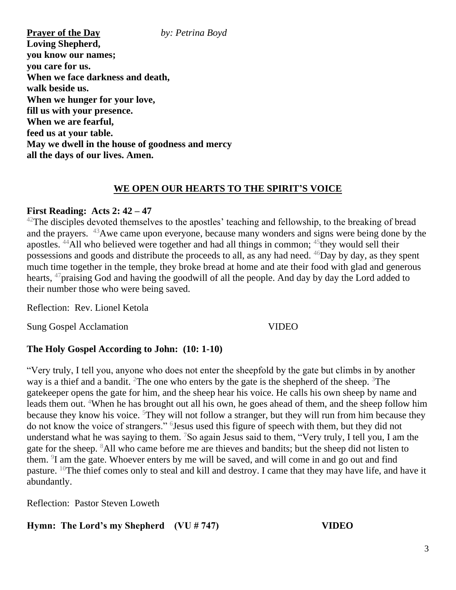**Prayer of the Day** *by: Petrina Boyd*  **Loving Shepherd, you know our names; you care for us. When we face darkness and death, walk beside us. When we hunger for your love, fill us with your presence. When we are fearful, feed us at your table. May we dwell in the house of goodness and mercy all the days of our lives. Amen.**

#### **WE OPEN OUR HEARTS TO THE SPIRIT'S VOICE**

#### **First Reading: Acts 2: 42 – 47**

 $42$ The disciples devoted themselves to the apostles' teaching and fellowship, to the breaking of bread and the prayers. <sup>43</sup>Awe came upon everyone, because many wonders and signs were being done by the apostles.  $44$ All who believed were together and had all things in common;  $45$ they would sell their possessions and goods and distribute the proceeds to all, as any had need. <sup>46</sup>Day by day, as they spent much time together in the temple, they broke bread at home and ate their food with glad and generous hearts, <sup>47</sup>praising God and having the goodwill of all the people. And day by day the Lord added to their number those who were being saved.

Reflection: Rev. Lionel Ketola

Sung Gospel Acclamation VIDEO

#### **The Holy Gospel According to John: (10: 1-10)**

"Very truly, I tell you, anyone who does not enter the sheepfold by the gate but climbs in by another way is a thief and a bandit. <sup>2</sup>The one who enters by the gate is the shepherd of the sheep. <sup>3</sup>The gatekeeper opens the gate for him, and the sheep hear his voice. He calls his own sheep by name and leads them out. <sup>4</sup>When he has brought out all his own, he goes ahead of them, and the sheep follow him because they know his voice. <sup>5</sup>They will not follow a stranger, but they will run from him because they do not know the voice of strangers." <sup>6</sup> Jesus used this figure of speech with them, but they did not understand what he was saying to them. <sup>7</sup>So again Jesus said to them, "Very truly, I tell you, I am the gate for the sheep. <sup>8</sup>All who came before me are thieves and bandits; but the sheep did not listen to them. <sup>9</sup>I am the gate. Whoever enters by me will be saved, and will come in and go out and find pasture. <sup>10</sup>The thief comes only to steal and kill and destroy. I came that they may have life, and have it abundantly.

Reflection: Pastor Steven Loweth

#### **Hymn: The Lord's my Shepherd (VU # 747) VIDEO**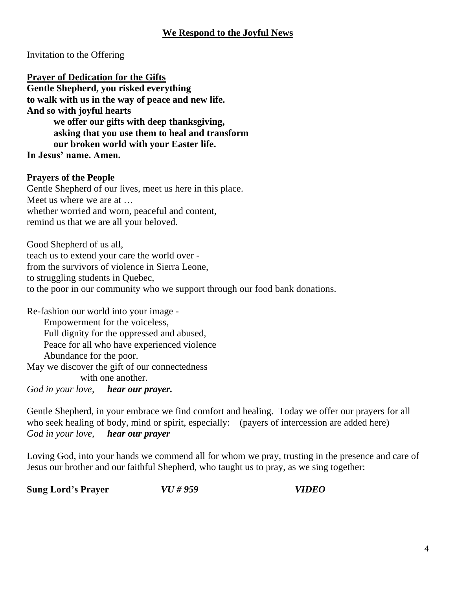Invitation to the Offering

**Prayer of Dedication for the Gifts Gentle Shepherd, you risked everything to walk with us in the way of peace and new life.** 

**And so with joyful hearts we offer our gifts with deep thanksgiving, asking that you use them to heal and transform our broken world with your Easter life.** 

**In Jesus' name. Amen.** 

#### **Prayers of the People**

Gentle Shepherd of our lives, meet us here in this place. Meet us where we are at … whether worried and worn, peaceful and content, remind us that we are all your beloved.

Good Shepherd of us all, teach us to extend your care the world over from the survivors of violence in Sierra Leone, to struggling students in Quebec, to the poor in our community who we support through our food bank donations.

Re-fashion our world into your image - Empowerment for the voiceless, Full dignity for the oppressed and abused, Peace for all who have experienced violence Abundance for the poor. May we discover the gift of our connectedness with one another.

*God in your love, hear our prayer.* 

Gentle Shepherd, in your embrace we find comfort and healing. Today we offer our prayers for all who seek healing of body, mind or spirit, especially: (payers of intercession are added here) *God in your love, hear our prayer*

Loving God, into your hands we commend all for whom we pray, trusting in the presence and care of Jesus our brother and our faithful Shepherd, who taught us to pray, as we sing together:

**Sung Lord's Prayer** *VU # 959 VIDEO*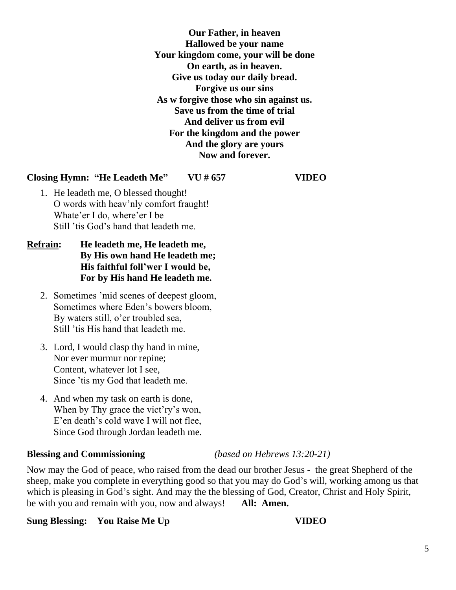**Our Father, in heaven Hallowed be your name Your kingdom come, your will be done On earth, as in heaven. Give us today our daily bread. Forgive us our sins As w forgive those who sin against us. Save us from the time of trial And deliver us from evil For the kingdom and the power And the glory are yours Now and forever.**

#### **Closing Hymn: "He Leadeth Me" VU # 657 VIDEO**

- 1. He leadeth me, O blessed thought! O words with heav'nly comfort fraught! Whate'er I do, where'er I be Still 'tis God's hand that leadeth me.
- **Refrain: He leadeth me, He leadeth me, By His own hand He leadeth me; His faithful foll'wer I would be, For by His hand He leadeth me.**
	- 2. Sometimes 'mid scenes of deepest gloom, Sometimes where Eden's bowers bloom, By waters still, o'er troubled sea, Still 'tis His hand that leadeth me.
	- 3. Lord, I would clasp thy hand in mine, Nor ever murmur nor repine; Content, whatever lot I see, Since 'tis my God that leadeth me.
	- 4. And when my task on earth is done, When by Thy grace the vict'ry's won, E'en death's cold wave I will not flee, Since God through Jordan leadeth me.

#### **Blessing and Commissioning** *(based on Hebrews 13:20-21)*

Now may the God of peace, who raised from the dead our brother Jesus - the great Shepherd of the sheep, make you complete in everything good so that you may do God's will, working among us that which is pleasing in God's sight. And may the the blessing of God, Creator, Christ and Holy Spirit, be with you and remain with you, now and always! **All: Amen.**

#### **Sung Blessing:** You Raise Me Up VIDEO

5